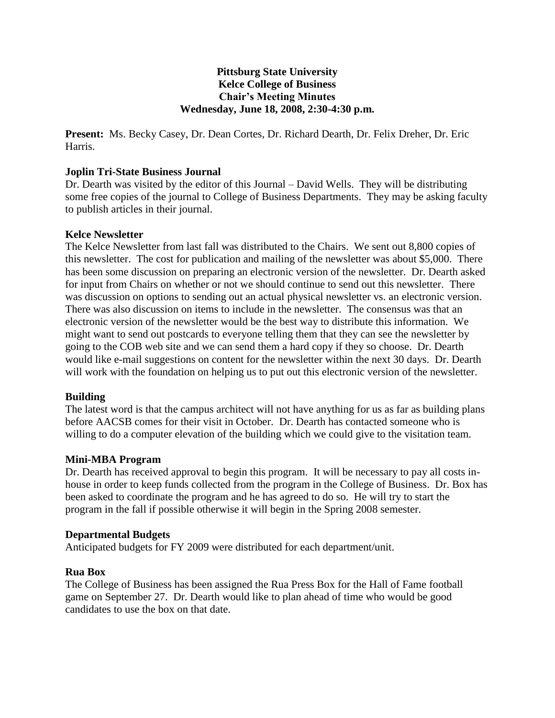# **Pittsburg State University Kelce College of Business Chair's Meeting Minutes Wednesday, June 18, 2008, 2:30-4:30 p.m.**

**Present:** Ms. Becky Casey, Dr. Dean Cortes, Dr. Richard Dearth, Dr. Felix Dreher, Dr. Eric Harris.

#### **Joplin Tri-State Business Journal**

Dr. Dearth was visited by the editor of this Journal – David Wells. They will be distributing some free copies of the journal to College of Business Departments. They may be asking faculty to publish articles in their journal.

#### **Kelce Newsletter**

The Kelce Newsletter from last fall was distributed to the Chairs. We sent out 8,800 copies of this newsletter. The cost for publication and mailing of the newsletter was about \$5,000. There has been some discussion on preparing an electronic version of the newsletter. Dr. Dearth asked for input from Chairs on whether or not we should continue to send out this newsletter. There was discussion on options to sending out an actual physical newsletter vs. an electronic version. There was also discussion on items to include in the newsletter. The consensus was that an electronic version of the newsletter would be the best way to distribute this information. We might want to send out postcards to everyone telling them that they can see the newsletter by going to the COB web site and we can send them a hard copy if they so choose. Dr. Dearth would like e-mail suggestions on content for the newsletter within the next 30 days. Dr. Dearth will work with the foundation on helping us to put out this electronic version of the newsletter.

#### **Building**

The latest word is that the campus architect will not have anything for us as far as building plans before AACSB comes for their visit in October. Dr. Dearth has contacted someone who is willing to do a computer elevation of the building which we could give to the visitation team.

# **Mini-MBA Program**

Dr. Dearth has received approval to begin this program. It will be necessary to pay all costs inhouse in order to keep funds collected from the program in the College of Business. Dr. Box has been asked to coordinate the program and he has agreed to do so. He will try to start the program in the fall if possible otherwise it will begin in the Spring 2008 semester.

#### **Departmental Budgets**

Anticipated budgets for FY 2009 were distributed for each department/unit.

#### **Rua Box**

The College of Business has been assigned the Rua Press Box for the Hall of Fame football game on September 27. Dr. Dearth would like to plan ahead of time who would be good candidates to use the box on that date.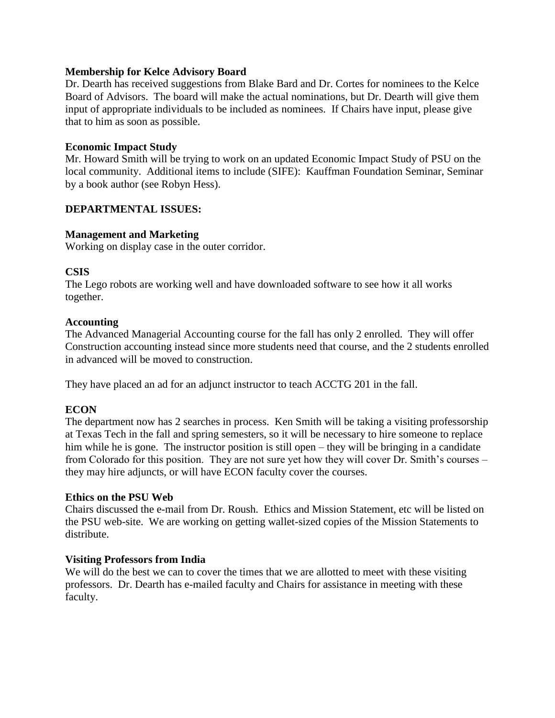# **Membership for Kelce Advisory Board**

Dr. Dearth has received suggestions from Blake Bard and Dr. Cortes for nominees to the Kelce Board of Advisors. The board will make the actual nominations, but Dr. Dearth will give them input of appropriate individuals to be included as nominees. If Chairs have input, please give that to him as soon as possible.

# **Economic Impact Study**

Mr. Howard Smith will be trying to work on an updated Economic Impact Study of PSU on the local community. Additional items to include (SIFE): Kauffman Foundation Seminar, Seminar by a book author (see Robyn Hess).

# **DEPARTMENTAL ISSUES:**

# **Management and Marketing**

Working on display case in the outer corridor.

# **CSIS**

The Lego robots are working well and have downloaded software to see how it all works together.

# **Accounting**

The Advanced Managerial Accounting course for the fall has only 2 enrolled. They will offer Construction accounting instead since more students need that course, and the 2 students enrolled in advanced will be moved to construction.

They have placed an ad for an adjunct instructor to teach ACCTG 201 in the fall.

# **ECON**

The department now has 2 searches in process. Ken Smith will be taking a visiting professorship at Texas Tech in the fall and spring semesters, so it will be necessary to hire someone to replace him while he is gone. The instructor position is still open – they will be bringing in a candidate from Colorado for this position. They are not sure yet how they will cover Dr. Smith's courses – they may hire adjuncts, or will have ECON faculty cover the courses.

# **Ethics on the PSU Web**

Chairs discussed the e-mail from Dr. Roush. Ethics and Mission Statement, etc will be listed on the PSU web-site. We are working on getting wallet-sized copies of the Mission Statements to distribute.

# **Visiting Professors from India**

We will do the best we can to cover the times that we are allotted to meet with these visiting professors. Dr. Dearth has e-mailed faculty and Chairs for assistance in meeting with these faculty.